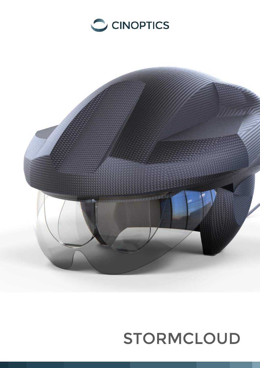



# STORMCLOUD